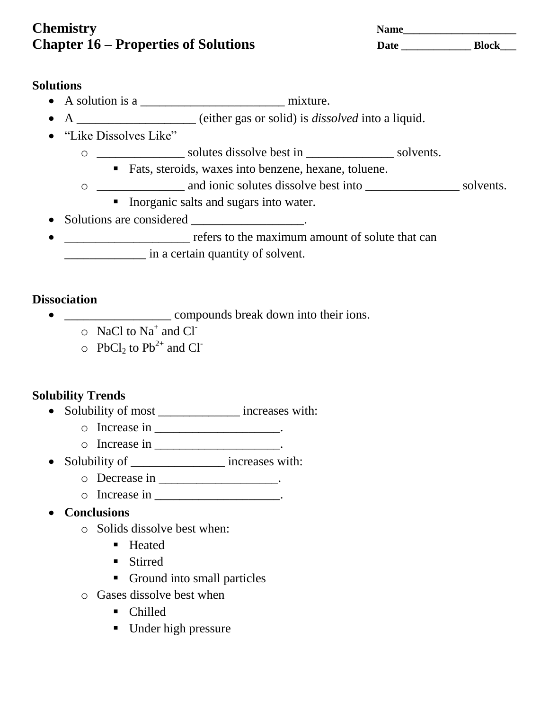## **Chemistry Chapter 16 – Properties of Solutions**

| <b>Name</b> |              |
|-------------|--------------|
| Date        | <b>Block</b> |

#### **Solutions**

- A solution is a \_\_\_\_\_\_\_\_\_\_\_\_\_\_\_\_\_\_\_\_\_\_\_ mixture.
- A \_\_\_\_\_\_\_\_\_\_\_\_\_\_\_\_\_\_\_ (either gas or solid) is *dissolved* into a liquid.
- "Like Dissolves Like"
	- $\circ$  \_\_\_\_\_\_\_\_\_\_\_\_\_\_\_\_\_\_\_ solutes dissolve best in \_\_\_\_\_\_\_\_\_\_\_\_\_\_\_\_\_\_\_ solvents.
		- Fats, steroids, waxes into benzene, hexane, toluene.
	- o \_\_\_\_\_\_\_\_\_\_\_\_\_\_ and ionic solutes dissolve best into \_\_\_\_\_\_\_\_\_\_\_\_\_\_\_ solvents.
		- Inorganic salts and sugars into water.
- Solutions are considered \_\_\_\_\_\_\_\_\_\_\_\_\_\_\_\_\_\_.
- **\_\_\_\_\_\_\_\_\_\_\_\_\_\_\_\_\_\_\_\_\_\_** refers to the maximum amount of solute that can \_\_\_\_\_\_\_\_\_\_\_\_\_ in a certain quantity of solvent.

### **Dissociation**

- \_\_\_\_\_\_\_\_\_\_\_\_\_\_\_\_\_ compounds break down into their ions.
	- $\circ$  NaCl to Na<sup>+</sup> and Cl<sup>-</sup>
	- $\circ$  PbCl<sub>2</sub> to Pb<sup>2+</sup> and Cl<sup>-1</sup>

## **Solubility Trends**

- Solubility of most \_\_\_\_\_\_\_\_\_\_\_\_\_\_ increases with:
	- $\circ$  Increase in \_\_\_\_\_\_\_\_\_\_\_\_\_\_\_\_\_\_\_\_\_.
	- o Increase in \_\_\_\_\_\_\_\_\_\_\_\_\_\_\_\_\_\_\_\_.
- Solubility of increases with:
	- o Decrease in \_\_\_\_\_\_\_\_\_\_\_\_\_\_\_\_\_.
	- $\circ$  Increase in  $\_\_\_\_\_\_\_\_\$
- **Conclusions**
	- o Solids dissolve best when:
		- **-** Heated
		- **Stirred**
		- Ground into small particles
	- o Gases dissolve best when
		- Chilled
		- Under high pressure